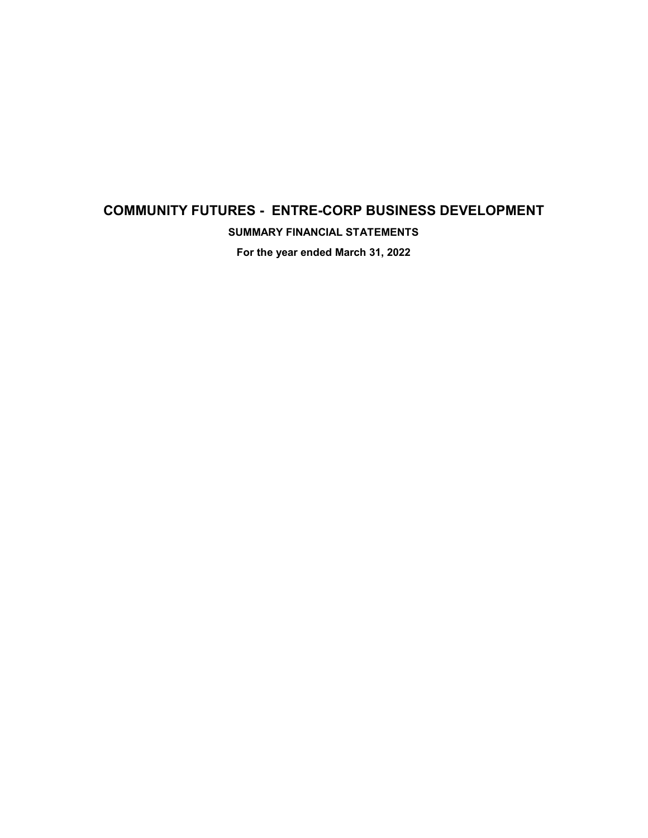# **COMMUNITY FUTURES - ENTRE-CORP BUSINESS DEVELOPMENT**

**SUMMARY FINANCIAL STATEMENTS**

**For the year ended March 31, 2022**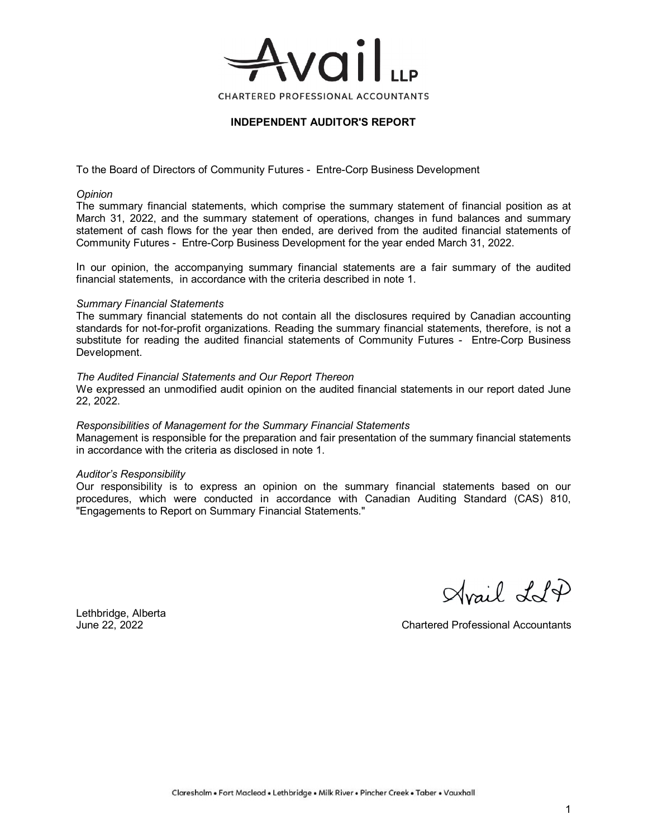

### **INDEPENDENT AUDITOR'S REPORT**

To the Board of Directors of Community Futures - Entre-Corp Business Development

#### *Opinion*

The summary financial statements, which comprise the summary statement of financial position as at March 31, 2022, and the summary statement of operations, changes in fund balances and summary statement of cash flows for the year then ended, are derived from the audited financial statements of Community Futures - Entre-Corp Business Development for the year ended March 31, 2022.

In our opinion, the accompanying summary financial statements are a fair summary of the audited financial statements, in accordance with the criteria described in note 1.

#### *Summary Financial Statements*

The summary financial statements do not contain all the disclosures required by Canadian accounting standards for not-for-profit organizations. Reading the summary financial statements, therefore, is not a substitute for reading the audited financial statements of Community Futures - Entre-Corp Business Development.

#### *The Audited Financial Statements and Our Report Thereon*

We expressed an unmodified audit opinion on the audited financial statements in our report dated June 22, 2022.

#### *Responsibilities of Management for the Summary Financial Statements*

Management is responsible for the preparation and fair presentation of the summary financial statements in accordance with the criteria as disclosed in note 1.

#### *Auditor's Responsibility*

Our responsibility is to express an opinion on the summary financial statements based on our procedures, which were conducted in accordance with Canadian Auditing Standard (CAS) 810, "Engagements to Report on Summary Financial Statements."

drail LlP

Lethbridge, Alberta

June 22, 2022 Chartered Professional Accountants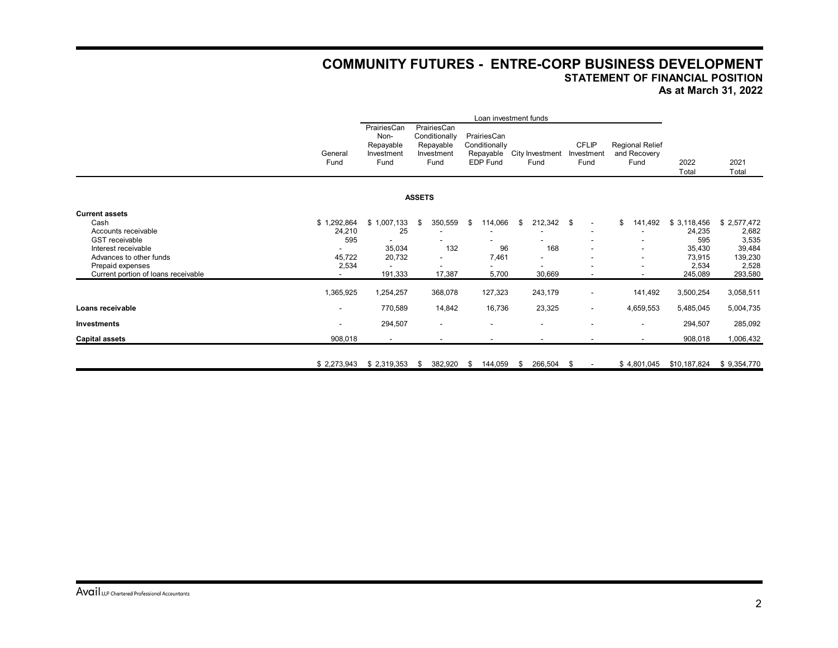## **COMMUNITY FUTURES - ENTRE-CORP BUSINESS DEVELOPMENT STATEMENT OF FINANCIAL POSITION As at March 31, 2022**

|                                     | Loan investment funds |                                                        |               |                                                                 |    |                                                              |     |                          |  |                                    |                                                |               |               |
|-------------------------------------|-----------------------|--------------------------------------------------------|---------------|-----------------------------------------------------------------|----|--------------------------------------------------------------|-----|--------------------------|--|------------------------------------|------------------------------------------------|---------------|---------------|
|                                     | General<br>Fund       | PrairiesCan<br>Non-<br>Repayable<br>Investment<br>Fund |               | PrairiesCan<br>Conditionally<br>Repayable<br>Investment<br>Fund |    | PrairiesCan<br>Conditionally<br>Repayable<br><b>EDP Fund</b> |     | City Investment<br>Fund  |  | <b>CFLIP</b><br>Investment<br>Fund | <b>Regional Relief</b><br>and Recovery<br>Fund | 2022<br>Total | 2021<br>Total |
|                                     |                       |                                                        | <b>ASSETS</b> |                                                                 |    |                                                              |     |                          |  |                                    |                                                |               |               |
| <b>Current assets</b>               |                       |                                                        |               |                                                                 |    |                                                              |     |                          |  |                                    |                                                |               |               |
| Cash                                | \$1,292,864           | \$1,007,133                                            | \$            | 350,559                                                         | \$ | 114,066                                                      | \$. | 212,342 \$               |  | $\overline{\phantom{a}}$           | \$<br>141,492                                  | \$3,118,456   | \$2,577,472   |
| Accounts receivable                 | 24,210                | 25                                                     |               |                                                                 |    |                                                              |     |                          |  | $\overline{\phantom{a}}$           |                                                | 24,235        | 2,682         |
| <b>GST</b> receivable               | 595                   |                                                        |               |                                                                 |    |                                                              |     |                          |  | $\overline{\phantom{a}}$           |                                                | 595           | 3,535         |
| Interest receivable                 |                       | 35,034                                                 |               | 132                                                             |    | 96                                                           |     | 168                      |  | $\overline{\phantom{a}}$           |                                                | 35,430        | 39,484        |
| Advances to other funds             | 45,722                | 20,732                                                 |               |                                                                 |    | 7,461                                                        |     | $\overline{\phantom{a}}$ |  | ۰                                  |                                                | 73,915        | 139,230       |
| Prepaid expenses                    | 2,534                 |                                                        |               |                                                                 |    |                                                              |     | $\blacksquare$           |  |                                    |                                                | 2,534         | 2,528         |
| Current portion of loans receivable |                       | 191,333                                                |               | 17,387                                                          |    | 5,700                                                        |     | 30,669                   |  | $\overline{\phantom{a}}$           | $\overline{\phantom{a}}$                       | 245,089       | 293,580       |
|                                     | 1,365,925             | 1,254,257                                              |               | 368,078                                                         |    | 127,323                                                      |     | 243,179                  |  | $\overline{\phantom{a}}$           | 141,492                                        | 3,500,254     | 3,058,511     |
| Loans receivable                    | $\sim$                | 770,589                                                |               | 14,842                                                          |    | 16,736                                                       |     | 23,325                   |  | $\overline{\phantom{a}}$           | 4,659,553                                      | 5,485,045     | 5,004,735     |
| <b>Investments</b>                  |                       | 294,507                                                |               | $\overline{\phantom{a}}$                                        |    | $\overline{\phantom{a}}$                                     |     | $\overline{\phantom{a}}$ |  | ٠                                  | ۰                                              | 294,507       | 285,092       |
| <b>Capital assets</b>               | 908,018               | $\sim$                                                 |               |                                                                 |    |                                                              |     | $\overline{\phantom{a}}$ |  | ٠                                  | $\blacksquare$                                 | 908,018       | 1,006,432     |
|                                     | \$2,273,943           | \$2,319,353                                            | \$            | 382,920                                                         | \$ | 144,059                                                      | \$  | 266,504 \$               |  | $\overline{\phantom{a}}$           | \$4,801,045                                    | \$10,187,824  | \$9,354,770   |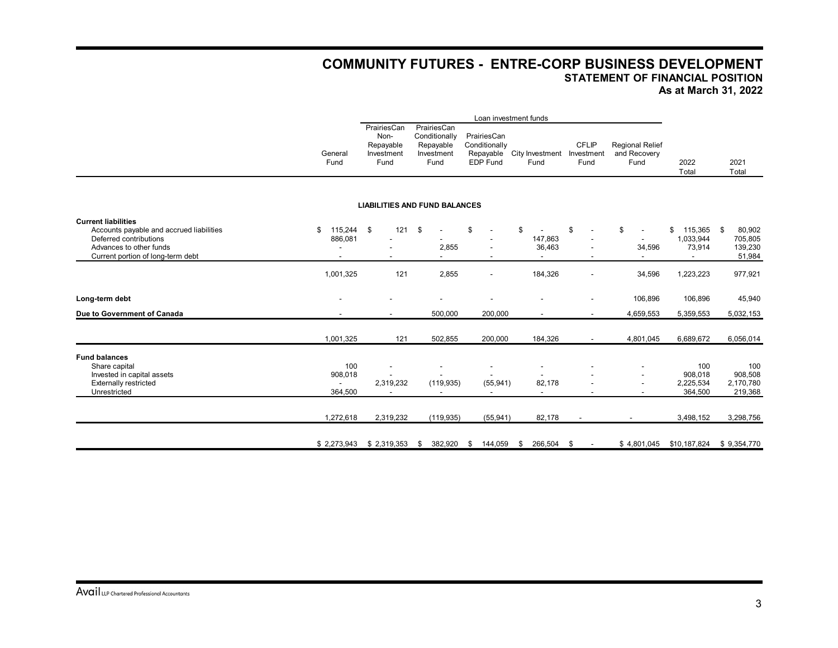## **COMMUNITY FUTURES - ENTRE-CORP BUSINESS DEVELOPMENT STATEMENT OF FINANCIAL POSITION As at March 31, 2022**

|                                                                                                                                                                  |                             | Loan investment funds                                  |                                                                 |                                                                   |                                    |                                    |                                                |                                        |                                              |
|------------------------------------------------------------------------------------------------------------------------------------------------------------------|-----------------------------|--------------------------------------------------------|-----------------------------------------------------------------|-------------------------------------------------------------------|------------------------------------|------------------------------------|------------------------------------------------|----------------------------------------|----------------------------------------------|
|                                                                                                                                                                  | General<br>Fund             | PrairiesCan<br>Non-<br>Repayable<br>Investment<br>Fund | PrairiesCan<br>Conditionally<br>Repayable<br>Investment<br>Fund | PrairiesCan<br>Conditionally<br>Repayable<br><b>EDP Fund</b>      | City Investment<br>Fund            | <b>CFLIP</b><br>Investment<br>Fund | <b>Regional Relief</b><br>and Recovery<br>Fund | 2022<br>Total                          | 2021<br>Total                                |
|                                                                                                                                                                  |                             |                                                        | <b>LIABILITIES AND FUND BALANCES</b>                            |                                                                   |                                    |                                    |                                                |                                        |                                              |
| <b>Current liabilities</b><br>Accounts payable and accrued liabilities<br>Deferred contributions<br>Advances to other funds<br>Current portion of long-term debt | \$<br>115,244 \$<br>886,081 | 121                                                    | \$<br>2,855                                                     | S                                                                 | \$<br>147,863<br>36,463            | \$                                 | \$<br>34,596                                   | \$<br>115,365<br>1,033,944<br>73,914   | 80,902<br>\$<br>705,805<br>139,230<br>51,984 |
|                                                                                                                                                                  | 1,001,325                   | 121                                                    | 2,855                                                           | ٠                                                                 | 184,326                            |                                    | 34,596                                         | 1,223,223                              | 977,921                                      |
| Long-term debt                                                                                                                                                   | $\overline{\phantom{a}}$    |                                                        |                                                                 |                                                                   |                                    |                                    | 106,896                                        | 106,896                                | 45,940                                       |
| Due to Government of Canada                                                                                                                                      |                             | $\blacksquare$                                         | 500,000                                                         | 200,000                                                           | $\blacksquare$                     | $\overline{\phantom{a}}$           | 4,659,553                                      | 5,359,553                              | 5,032,153                                    |
|                                                                                                                                                                  | 1,001,325                   | 121                                                    | 502,855                                                         | 200,000                                                           | 184,326                            |                                    | 4,801,045                                      | 6,689,672                              | 6,056,014                                    |
| <b>Fund balances</b><br>Share capital<br>Invested in capital assets<br>Externally restricted<br>Unrestricted                                                     | 100<br>908,018<br>364,500   | 2,319,232                                              | (119, 935)                                                      | $\overline{\phantom{a}}$<br>(55, 941)<br>$\overline{\phantom{a}}$ | 82,178<br>$\overline{\phantom{a}}$ |                                    |                                                | 100<br>908,018<br>2,225,534<br>364,500 | 100<br>908,508<br>2,170,780<br>219,368       |
|                                                                                                                                                                  | 1,272,618                   | 2,319,232                                              | (119, 935)                                                      | (55, 941)                                                         | 82,178                             |                                    | $\overline{\phantom{a}}$                       | 3,498,152                              | 3,298,756                                    |
|                                                                                                                                                                  | \$2,273,943                 | \$2,319,353                                            | 382,920<br>-\$                                                  | - \$<br>144,059                                                   | 266,504 \$<br>S.                   |                                    | \$4,801,045                                    | \$10,187,824                           | \$9,354,770                                  |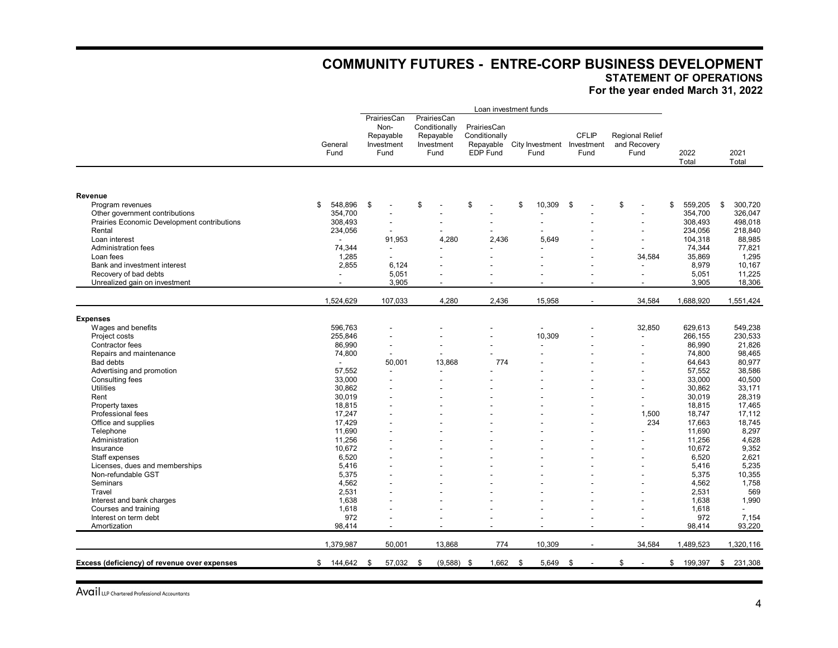## **COMMUNITY FUTURES - ENTRE-CORP BUSINESS DEVELOPMENT**

**STATEMENT OF OPERATIONS**

**For the year ended March 31, 2022**

|                                              |                          |                                                        |                                                                 |                                                              | Loan investment funds              |                                |                                                |                  |                          |
|----------------------------------------------|--------------------------|--------------------------------------------------------|-----------------------------------------------------------------|--------------------------------------------------------------|------------------------------------|--------------------------------|------------------------------------------------|------------------|--------------------------|
|                                              | General<br>Fund          | PrairiesCan<br>Non-<br>Repayable<br>Investment<br>Fund | PrairiesCan<br>Conditionally<br>Repayable<br>Investment<br>Fund | PrairiesCan<br>Conditionally<br>Repayable<br><b>EDP Fund</b> | City Investment Investment<br>Fund | <b>CFLIP</b><br>Fund           | <b>Regional Relief</b><br>and Recovery<br>Fund | 2022<br>Total    | 2021<br>Total            |
|                                              |                          |                                                        |                                                                 |                                                              |                                    |                                |                                                |                  |                          |
| Revenue                                      |                          |                                                        |                                                                 |                                                              |                                    |                                |                                                |                  |                          |
| Program revenues                             | 548,896<br>\$            | \$                                                     | \$                                                              | \$                                                           | \$<br>10,309                       | \$                             | \$                                             | \$<br>559,205    | \$<br>300,720            |
| Other government contributions               | 354,700                  |                                                        |                                                                 |                                                              |                                    |                                | $\overline{\phantom{a}}$                       | 354,700          | 326,047                  |
| Prairies Economic Development contributions  | 308,493                  |                                                        |                                                                 |                                                              |                                    |                                | ÷,                                             | 308,493          | 498,018                  |
| Rental                                       | 234,056                  | $\blacksquare$                                         |                                                                 |                                                              |                                    |                                | ÷                                              | 234,056          | 218,840                  |
| Loan interest                                |                          | 91,953                                                 | 4,280                                                           | 2.436                                                        | 5.649                              |                                |                                                | 104,318          | 88,985                   |
| Administration fees                          | 74,344                   | $\overline{\phantom{a}}$                               |                                                                 |                                                              |                                    |                                | -                                              | 74,344           | 77,821                   |
| Loan fees                                    | 1,285                    | L.                                                     |                                                                 |                                                              |                                    |                                | 34,584                                         | 35,869           | 1,295                    |
| Bank and investment interest                 | 2,855                    | 6,124                                                  |                                                                 |                                                              |                                    |                                | ÷                                              | 8,979            | 10,167                   |
| Recovery of bad debts                        | $\overline{\phantom{a}}$ | 5,051                                                  |                                                                 |                                                              |                                    |                                |                                                | 5,051            | 11,225                   |
| Unrealized gain on investment                | $\blacksquare$           | 3,905                                                  | $\blacksquare$                                                  |                                                              |                                    | $\overline{\phantom{a}}$       | ٠                                              | 3,905            | 18,306                   |
|                                              |                          |                                                        |                                                                 |                                                              |                                    |                                |                                                |                  |                          |
|                                              | 1,524,629                | 107,033                                                | 4,280                                                           | 2,436                                                        | 15,958                             | $\overline{\phantom{a}}$       | 34,584                                         | 1,688,920        | 1,551,424                |
| <b>Expenses</b>                              |                          |                                                        |                                                                 |                                                              |                                    |                                |                                                |                  |                          |
| Wages and benefits                           | 596,763                  |                                                        |                                                                 |                                                              |                                    |                                | 32,850                                         | 629,613          | 549,238                  |
| Project costs                                | 255,846                  |                                                        |                                                                 |                                                              | 10,309                             |                                |                                                | 266,155          | 230,533                  |
| Contractor fees                              | 86,990                   | $\overline{\phantom{a}}$                               |                                                                 |                                                              |                                    |                                | ٠                                              | 86,990           | 21,826                   |
| Repairs and maintenance                      | 74,800                   | $\blacksquare$                                         |                                                                 |                                                              |                                    |                                |                                                | 74,800           | 98,465                   |
| <b>Bad debts</b>                             |                          | 50,001                                                 | 13,868                                                          | 774                                                          |                                    |                                |                                                | 64,643           | 80,977                   |
| Advertising and promotion                    | 57,552                   | $\overline{\phantom{a}}$                               | $\overline{a}$                                                  |                                                              |                                    |                                | ÷                                              | 57,552           | 38,586                   |
| Consulting fees                              | 33,000                   |                                                        |                                                                 |                                                              |                                    |                                |                                                | 33,000           | 40,500                   |
| <b>Utilities</b>                             | 30,862                   | $\overline{\phantom{a}}$                               |                                                                 |                                                              |                                    |                                |                                                | 30,862           | 33,171                   |
| Rent                                         | 30,019                   |                                                        |                                                                 |                                                              |                                    |                                |                                                | 30.019           | 28,319                   |
| Property taxes                               | 18,815                   |                                                        |                                                                 |                                                              |                                    |                                |                                                | 18,815           | 17,465                   |
| Professional fees                            | 17,247                   |                                                        |                                                                 |                                                              |                                    |                                | 1,500                                          | 18,747           | 17,112                   |
| Office and supplies                          | 17,429                   |                                                        |                                                                 |                                                              |                                    |                                | 234                                            | 17,663           | 18,745                   |
| Telephone                                    | 11.690                   |                                                        |                                                                 |                                                              |                                    |                                |                                                | 11.690           | 8,297                    |
| Administration                               | 11.256                   |                                                        |                                                                 |                                                              |                                    |                                |                                                | 11.256           | 4,628                    |
| Insurance                                    | 10,672                   |                                                        |                                                                 |                                                              |                                    |                                |                                                | 10,672           | 9,352                    |
| Staff expenses                               | 6,520                    | $\overline{\phantom{a}}$                               |                                                                 |                                                              |                                    |                                |                                                | 6,520            | 2,621                    |
| Licenses, dues and memberships               | 5,416                    |                                                        |                                                                 |                                                              |                                    |                                |                                                | 5.416            | 5,235                    |
| Non-refundable GST                           | 5.375                    |                                                        |                                                                 |                                                              |                                    |                                |                                                | 5,375            | 10,355                   |
| Seminars                                     | 4,562                    |                                                        |                                                                 |                                                              |                                    |                                |                                                | 4,562            | 1,758                    |
| Travel                                       | 2,531                    |                                                        |                                                                 |                                                              |                                    |                                | $\overline{a}$                                 | 2,531            | 569                      |
| Interest and bank charges                    | 1.638                    |                                                        |                                                                 |                                                              |                                    |                                |                                                | 1,638            | 1,990                    |
| Courses and training                         | 1.618                    |                                                        |                                                                 |                                                              |                                    |                                |                                                | 1.618            | $\overline{\phantom{a}}$ |
| Interest on term debt                        | 972                      |                                                        |                                                                 |                                                              |                                    |                                |                                                | 972              | 7,154                    |
| Amortization                                 | 98,414                   | $\overline{\phantom{a}}$                               |                                                                 |                                                              |                                    |                                |                                                | 98,414           | 93,220                   |
|                                              |                          |                                                        |                                                                 |                                                              |                                    |                                |                                                |                  |                          |
|                                              | 1,379,987                | 50,001                                                 | 13,868                                                          | 774                                                          | 10,309                             | $\overline{a}$                 | 34,584                                         | 1,489,523        | 1,320,116                |
| Excess (deficiency) of revenue over expenses | $$144,642$ \$            | 57,032 \$                                              | $(9,588)$ \$                                                    | $1,662$ \$                                                   | 5,649                              | \$<br>$\overline{\phantom{a}}$ | \$                                             | \$<br>199,397 \$ | 231,308                  |
|                                              |                          |                                                        |                                                                 |                                                              |                                    |                                |                                                |                  |                          |

Avail LLP Chartered Professional Accountants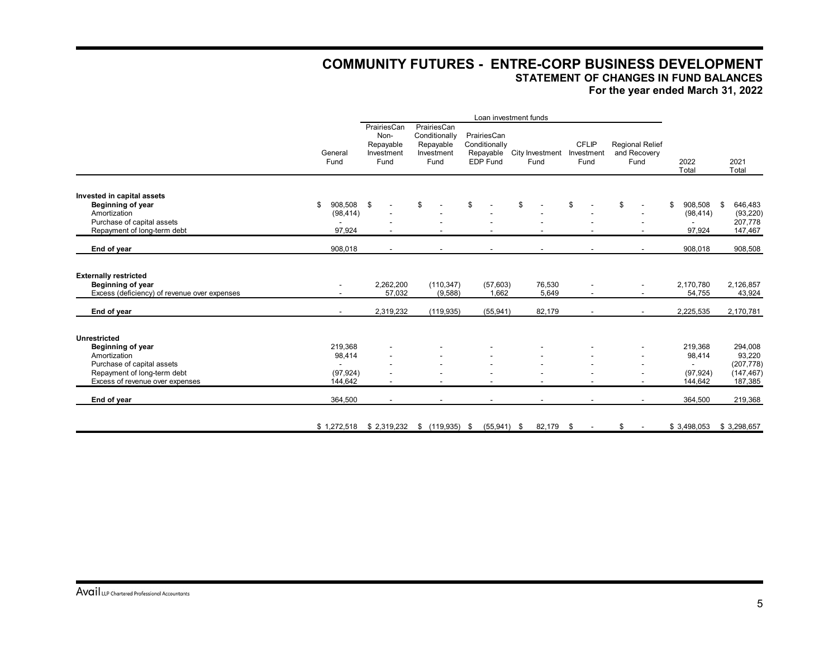## **COMMUNITY FUTURES - ENTRE-CORP BUSINESS DEVELOPMENT STATEMENT OF CHANGES IN FUND BALANCES**

**For the year ended March 31, 2022**

|                                                 | Loan investment funds    |                                                        |                                                                 |                                          |                                   |                                    |                                                |               |               |
|-------------------------------------------------|--------------------------|--------------------------------------------------------|-----------------------------------------------------------------|------------------------------------------|-----------------------------------|------------------------------------|------------------------------------------------|---------------|---------------|
|                                                 | General<br>Fund          | PrairiesCan<br>Non-<br>Repayable<br>Investment<br>Fund | PrairiesCan<br>Conditionally<br>Repayable<br>Investment<br>Fund | PrairiesCan<br>Conditionally<br>EDP Fund | Repayable City Investment<br>Fund | <b>CFLIP</b><br>Investment<br>Fund | <b>Regional Relief</b><br>and Recovery<br>Fund | 2022<br>Total | 2021<br>Total |
|                                                 |                          |                                                        |                                                                 |                                          |                                   |                                    |                                                |               |               |
| Invested in capital assets<br>Beginning of year | 908,508<br>\$            | \$                                                     | \$                                                              | \$                                       | \$                                | \$                                 | \$                                             | 908,508<br>\$ | \$<br>646,483 |
| Amortization                                    | (98, 414)                |                                                        |                                                                 |                                          |                                   |                                    |                                                | (98, 414)     | (93, 220)     |
| Purchase of capital assets                      |                          |                                                        |                                                                 |                                          |                                   |                                    |                                                |               | 207,778       |
| Repayment of long-term debt                     | 97,924                   |                                                        |                                                                 |                                          |                                   |                                    |                                                | 97,924        | 147,467       |
|                                                 |                          |                                                        |                                                                 |                                          |                                   |                                    |                                                |               |               |
| End of year                                     | 908,018                  | $\blacksquare$                                         |                                                                 |                                          |                                   |                                    |                                                | 908,018       | 908,508       |
| <b>Externally restricted</b>                    |                          |                                                        |                                                                 |                                          |                                   |                                    |                                                |               |               |
| <b>Beginning of year</b>                        |                          | 2,262,200                                              | (110, 347)                                                      | (57, 603)                                | 76,530                            |                                    |                                                | 2,170,780     | 2,126,857     |
| Excess (deficiency) of revenue over expenses    |                          | 57,032                                                 | (9,588)                                                         | 1,662                                    | 5,649                             | $\overline{\phantom{a}}$           |                                                | 54,755        | 43,924        |
| End of year                                     | $\overline{\phantom{0}}$ | 2,319,232                                              | (119, 935)                                                      | (55, 941)                                | 82,179                            | $\overline{\phantom{a}}$           |                                                | 2,225,535     | 2,170,781     |
| <b>Unrestricted</b>                             |                          |                                                        |                                                                 |                                          |                                   |                                    |                                                |               |               |
| Beginning of year                               | 219,368                  |                                                        |                                                                 |                                          |                                   |                                    |                                                | 219,368       | 294,008       |
| Amortization                                    | 98,414                   |                                                        |                                                                 |                                          |                                   |                                    |                                                | 98,414        | 93,220        |
| Purchase of capital assets                      |                          |                                                        |                                                                 |                                          |                                   |                                    |                                                |               | (207, 778)    |
| Repayment of long-term debt                     | (97, 924)                |                                                        |                                                                 |                                          |                                   |                                    |                                                | (97, 924)     | (147, 467)    |
| Excess of revenue over expenses                 | 144,642                  | $\overline{\phantom{0}}$                               |                                                                 |                                          |                                   |                                    |                                                | 144,642       | 187,385       |
| End of year                                     | 364,500                  | $\overline{a}$                                         |                                                                 |                                          |                                   |                                    |                                                | 364,500       | 219,368       |
|                                                 | \$1,272,518              |                                                        | $$2,319,232$ $$(119,935)$ \$                                    | $(55,941)$ \$                            | 82,179                            | $^{\circ}$                         | \$                                             | \$3,498,053   | \$3,298,657   |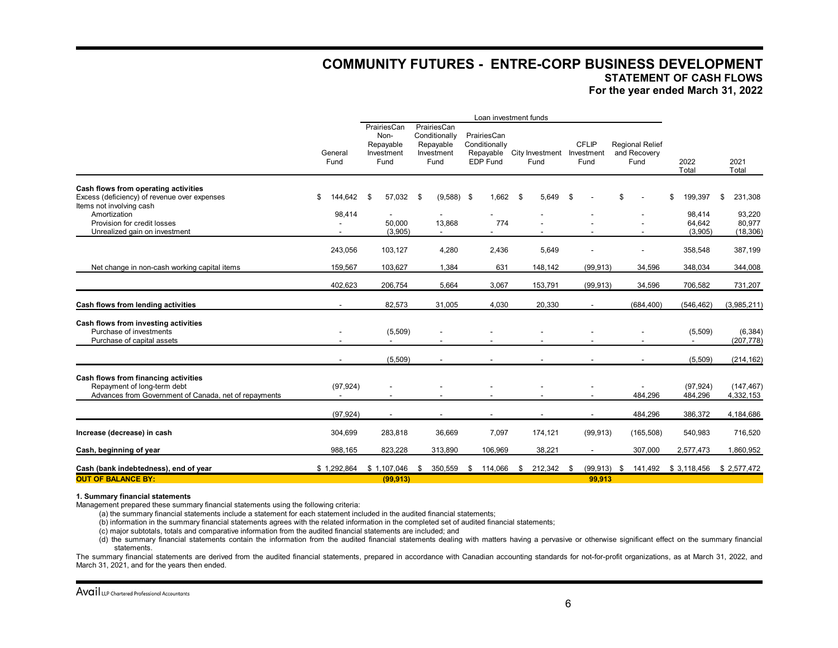## **COMMUNITY FUTURES - ENTRE-CORP BUSINESS DEVELOPMENT STATEMENT OF CASH FLOWS**

**For the year ended March 31, 2022**

|                                                                                                                                                                                                  |                         |                                                        |                                                                 |                                                       | Loan investment funds              |                          |                                                |                                              |                                                |
|--------------------------------------------------------------------------------------------------------------------------------------------------------------------------------------------------|-------------------------|--------------------------------------------------------|-----------------------------------------------------------------|-------------------------------------------------------|------------------------------------|--------------------------|------------------------------------------------|----------------------------------------------|------------------------------------------------|
|                                                                                                                                                                                                  | General<br>Fund         | PrairiesCan<br>Non-<br>Repayable<br>Investment<br>Fund | PrairiesCan<br>Conditionally<br>Repayable<br>Investment<br>Fund | PrairiesCan<br>Conditionally<br>Repayable<br>EDP Fund | City Investment Investment<br>Fund | <b>CFLIP</b><br>Fund     | <b>Regional Relief</b><br>and Recovery<br>Fund | 2022<br>Total                                | 2021<br>Total                                  |
| Cash flows from operating activities<br>Excess (deficiency) of revenue over expenses<br>Items not involving cash<br>Amortization<br>Provision for credit losses<br>Unrealized gain on investment | 144,642<br>\$<br>98,414 | 57,032<br>- \$<br>50,000<br>(3,905)                    | \$<br>$(9,588)$ \$<br>13,868                                    | 1,662<br>774                                          | 5,649<br>- \$                      | -\$                      | \$                                             | 199,397<br>\$<br>98.414<br>64,642<br>(3,905) | 231,308<br>\$<br>93,220<br>80,977<br>(18, 306) |
| Net change in non-cash working capital items                                                                                                                                                     | 243,056<br>159,567      | 103,127<br>103,627                                     | 4,280<br>1,384                                                  | 2,436<br>631                                          | 5,649<br>148,142                   | (99, 913)                | 34,596                                         | 358,548<br>348,034                           | 387,199<br>344,008                             |
|                                                                                                                                                                                                  | 402.623                 | 206,754                                                | 5,664                                                           | 3,067                                                 | 153,791                            | (99, 913)                | 34,596                                         | 706,582                                      | 731,207                                        |
| Cash flows from lending activities                                                                                                                                                               |                         | 82,573                                                 | 31,005                                                          | 4,030                                                 | 20,330                             | $\overline{\phantom{a}}$ | (684, 400)                                     | (546, 462)                                   | (3,985,211)                                    |
| Cash flows from investing activities<br>Purchase of investments<br>Purchase of capital assets                                                                                                    |                         | (5,509)                                                |                                                                 |                                                       |                                    |                          |                                                | (5,509)                                      | (6, 384)<br>(207, 778)                         |
|                                                                                                                                                                                                  |                         | (5,509)                                                |                                                                 |                                                       |                                    |                          |                                                | (5,509)                                      | (214, 162)                                     |
| Cash flows from financing activities<br>Repayment of long-term debt<br>Advances from Government of Canada, net of repayments                                                                     | (97, 924)               |                                                        |                                                                 |                                                       |                                    |                          | 484,296                                        | (97, 924)<br>484,296                         | (147, 467)<br>4,332,153                        |
|                                                                                                                                                                                                  | (97, 924)               | $\overline{\phantom{a}}$                               |                                                                 |                                                       |                                    |                          | 484,296                                        | 386,372                                      | 4,184,686                                      |
| Increase (decrease) in cash                                                                                                                                                                      | 304,699                 | 283,818                                                | 36,669                                                          | 7,097                                                 | 174,121                            | (99, 913)                | (165, 508)                                     | 540,983                                      | 716,520                                        |
| Cash, beginning of year                                                                                                                                                                          | 988,165                 | 823,228                                                | 313,890                                                         | 106,969                                               | 38,221                             | $\blacksquare$           | 307,000                                        | 2,577,473                                    | 1,860,952                                      |
| Cash (bank indebtedness), end of year                                                                                                                                                            | \$1,292,864             | \$1,107,046                                            | 350,559<br>\$                                                   | 114,066<br>\$.                                        | 212,342<br>\$                      | (99, 913)<br>\$          | 141,492<br>\$                                  | \$ 3,118,456                                 | \$2,577,472                                    |
| <b>OUT OF BALANCE BY:</b>                                                                                                                                                                        |                         | (99, 913)                                              |                                                                 |                                                       |                                    | 99.913                   |                                                |                                              |                                                |

#### **1. Summary financial statements**

Management prepared these summary financial statements using the following criteria:

(a) the summary financial statements include a statement for each statement included in the audited financial statements;

(b) information in the summary financial statements agrees with the related information in the completed set of audited financial statements;

- (c) major subtotals, totals and comparative information from the audited financial statements are included; and
- (d) the summary financial statements contain the information from the audited financial statements dealing with matters having a pervasive or otherwise significant effect on the summary financial statements.

The summary financial statements are derived from the audited financial statements, prepared in accordance with Canadian accounting standards for not-for-profit organizations, as at March 31, 2022, and March 31, 2021, and for the years then ended.